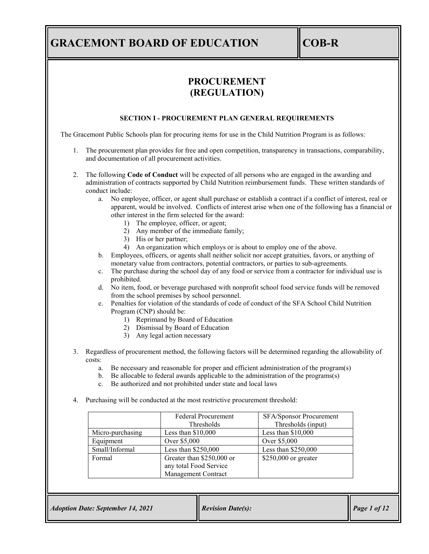# **PROCUREMENT (REGULATION)**

#### **SECTION I - PROCUREMENT PLAN GENERAL REQUIREMENTS**

The Gracemont Public Schools plan for procuring items for use in the Child Nutrition Program is as follows:

- 1. The procurement plan provides for free and open competition, transparency in transactions, comparability, and documentation of all procurement activities.
- 2. The following **Code of Conduct** will be expected of all persons who are engaged in the awarding and administration of contracts supported by Child Nutrition reimbursement funds. These written standards of conduct include:
	- a. No employee, officer, or agent shall purchase or establish a contract if a conflict of interest, real or apparent, would be involved. Conflicts of interest arise when one of the following has a financial or other interest in the firm selected for the award:
		- 1) The employee, officer, or agent;
		- 2) Any member of the immediate family;
		- 3) His or her partner;
		- 4) An organization which employs or is about to employ one of the above.
	- b. Employees, officers, or agents shall neither solicit nor accept gratuities, favors, or anything of monetary value from contractors, potential contractors, or parties to sub-agreements.
	- c. The purchase during the school day of any food or service from a contractor for individual use is prohibited.
	- d. No item, food, or beverage purchased with nonprofit school food service funds will be removed from the school premises by school personnel.
	- e. Penalties for violation of the standards of code of conduct of the SFA School Child Nutrition Program (CNP) should be:
		- 1) Reprimand by Board of Education
		- 2) Dismissal by Board of Education
		- 3) Any legal action necessary
- 3. Regardless of procurement method, the following factors will be determined regarding the allowability of costs:
	- a. Be necessary and reasonable for proper and efficient administration of the program(s)
	- b. Be allocable to federal awards applicable to the administration of the programs(s)
	- c. Be authorized and not prohibited under state and local laws
- 4. Purchasing will be conducted at the most restrictive procurement threshold:

|                  | <b>Federal Procurement</b><br>Thresholds                                   | SFA/Sponsor Procurement<br>Thresholds (input) |
|------------------|----------------------------------------------------------------------------|-----------------------------------------------|
| Micro-purchasing | Less than $$10,000$                                                        | Less than $$10,000$                           |
| Equipment        | Over \$5,000                                                               | Over \$5,000                                  |
| Small/Informal   | Less than \$250,000                                                        | Less than \$250,000                           |
| Formal           | Greater than \$250,000 or<br>any total Food Service<br>Management Contract | $$250,000$ or greater                         |

| <b>Adoption Date: September 14, 2021</b> | <b>Revision Date(s):</b> | $\vert$ Page 1 of 12 |
|------------------------------------------|--------------------------|----------------------|
|------------------------------------------|--------------------------|----------------------|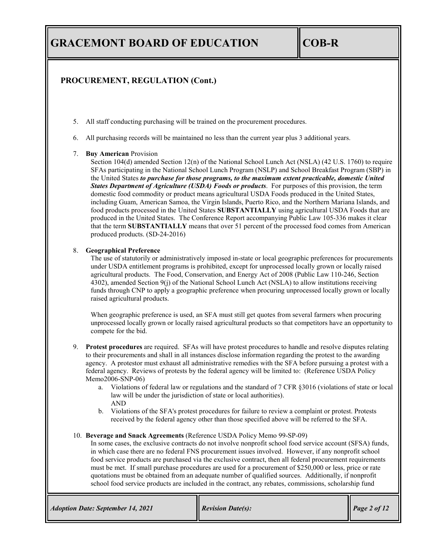# **PROCUREMENT, REGULATION (Cont.)**

- 5. All staff conducting purchasing will be trained on the procurement procedures.
- 6. All purchasing records will be maintained no less than the current year plus 3 additional years.

### 7. **Buy American** Provision

Section 104(d) amended Section 12(n) of the National School Lunch Act (NSLA) (42 U.S. 1760) to require SFAs participating in the National School Lunch Program (NSLP) and School Breakfast Program (SBP) in the United States *to purchase for those programs, to the maximum extent practicable, domestic United States Department of Agriculture (USDA) Foods or products*. For purposes of this provision, the term domestic food commodity or product means agricultural USDA Foods produced in the United States, including Guam, American Samoa, the Virgin Islands, Puerto Rico, and the Northern Mariana Islands, and food products processed in the United States **SUBSTANTIALLY** using agricultural USDA Foods that are produced in the United States. The Conference Report accompanying Public Law 105-336 makes it clear that the term **SUBSTANTIALLY** means that over 51 percent of the processed food comes from American produced products. (SD-24-2016)

### 8. **Geographical Preference**

The use of statutorily or administratively imposed in-state or local geographic preferences for procurements under USDA entitlement programs is prohibited, except for unprocessed locally grown or locally raised agricultural products. The Food, Conservation, and Energy Act of 2008 (Public Law 110-246, Section 4302), amended Section 9(j) of the National School Lunch Act (NSLA) to allow institutions receiving funds through CNP to apply a geographic preference when procuring unprocessed locally grown or locally raised agricultural products.

When geographic preference is used, an SFA must still get quotes from several farmers when procuring unprocessed locally grown or locally raised agricultural products so that competitors have an opportunity to compete for the bid.

- 9. **Protest procedures** are required. SFAs will have protest procedures to handle and resolve disputes relating to their procurements and shall in all instances disclose information regarding the protest to the awarding agency. A protestor must exhaust all administrative remedies with the SFA before pursuing a protest with a federal agency. Reviews of protests by the federal agency will be limited to: (Reference USDA Policy Memo2006-SNP-06)
	- a. Violations of federal law or regulations and the standard of 7 CFR §3016 (violations of state or local law will be under the jurisdiction of state or local authorities). AND
	- b. Violations of the SFA's protest procedures for failure to review a complaint or protest. Protests received by the federal agency other than those specified above will be referred to the SFA.

#### 10. **Beverage and Snack Agreements** (Reference USDA Policy Memo 99-SP-09)

In some cases, the exclusive contracts do not involve nonprofit school food service account (SFSA) funds, in which case there are no federal FNS procurement issues involved. However, if any nonprofit school food service products are purchased via the exclusive contract, then all federal procurement requirements must be met. If small purchase procedures are used for a procurement of \$250,000 or less, price or rate quotations must be obtained from an adequate number of qualified sources. Additionally, if nonprofit school food service products are included in the contract, any rebates, commissions, scholarship fund

| <b>Adoption Date: September 14, 2021</b> | <b>Revision Date(s):</b> | Page 2 of 12 |
|------------------------------------------|--------------------------|--------------|
|                                          |                          |              |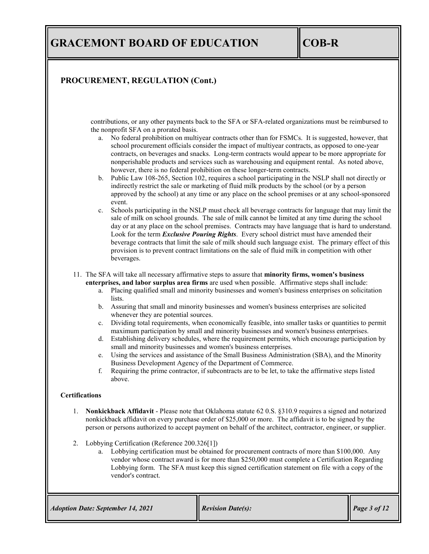## **PROCUREMENT, REGULATION (Cont.)**

contributions, or any other payments back to the SFA or SFA-related organizations must be reimbursed to the nonprofit SFA on a prorated basis.

- a. No federal prohibition on multiyear contracts other than for FSMCs. It is suggested, however, that school procurement officials consider the impact of multiyear contracts, as opposed to one-year contracts, on beverages and snacks. Long-term contracts would appear to be more appropriate for nonperishable products and services such as warehousing and equipment rental. As noted above, however, there is no federal prohibition on these longer-term contracts.
- b. Public Law 108-265, Section 102, requires a school participating in the NSLP shall not directly or indirectly restrict the sale or marketing of fluid milk products by the school (or by a person approved by the school) at any time or any place on the school premises or at any school-sponsored event.
- c. Schools participating in the NSLP must check all beverage contracts for language that may limit the sale of milk on school grounds. The sale of milk cannot be limited at any time during the school day or at any place on the school premises. Contracts may have language that is hard to understand. Look for the term *Exclusive Pouring Rights*. Every school district must have amended their beverage contracts that limit the sale of milk should such language exist. The primary effect of this provision is to prevent contract limitations on the sale of fluid milk in competition with other beverages.

11. The SFA will take all necessary affirmative steps to assure that **minority firms, women's business enterprises, and labor surplus area firms** are used when possible. Affirmative steps shall include:

- a. Placing qualified small and minority businesses and women's business enterprises on solicitation lists.
- b. Assuring that small and minority businesses and women's business enterprises are solicited whenever they are potential sources.
- c. Dividing total requirements, when economically feasible, into smaller tasks or quantities to permit maximum participation by small and minority businesses and women's business enterprises.
- d. Establishing delivery schedules, where the requirement permits, which encourage participation by small and minority businesses and women's business enterprises.
- e. Using the services and assistance of the Small Business Administration (SBA), and the Minority Business Development Agency of the Department of Commerce.
- f. Requiring the prime contractor, if subcontracts are to be let, to take the affirmative steps listed above.

#### **Certifications**

- 1. **Nonkickback Affidavit** Please note that Oklahoma statute 62 0.S. §310.9 requires a signed and notarized nonkickback affidavit on every purchase order of \$25,000 or more. The affidavit is to be signed by the person or persons authorized to accept payment on behalf of the architect, contractor, engineer, or supplier.
- 2. Lobbying Certification (Reference 200.326[1])
	- a. Lobbying certification must be obtained for procurement contracts of more than \$100,000. Any vendor whose contract award is for more than \$250,000 must complete a Certification Regarding Lobbying form. The SFA must keep this signed certification statement on file with a copy of the vendor's contract.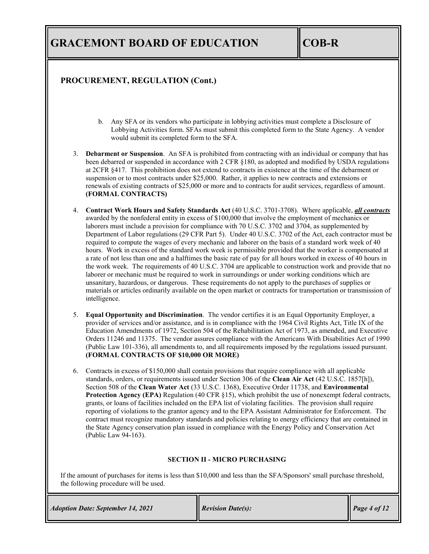### **PROCUREMENT, REGULATION (Cont.)**

- b. Any SFA or its vendors who participate in lobbying activities must complete a Disclosure of Lobbying Activities form. SFAs must submit this completed form to the State Agency. A vendor would submit its completed form to the SFA.
- 3. **Debarment or Suspension**. An SFA is prohibited from contracting with an individual or company that has been debarred or suspended in accordance with 2 CFR §180, as adopted and modified by USDA regulations at 2CFR §417. This prohibition does not extend to contracts in existence at the time of the debarment or suspension or to most contracts under \$25,000. Rather, it applies to new contracts and extensions or renewals of existing contracts of \$25,000 or more and to contracts for audit services, regardless of amount. **(FORMAL CONTRACTS)**
- 4. **Contract Work Hours and Safety Standards Act** (40 U.S.C. 3701-3708). Where applicable, *all contracts* awarded by the nonfederal entity in excess of \$100,000 that involve the employment of mechanics or laborers must include a provision for compliance with 70 U.S.C. 3702 and 3704, as supplemented by Department of Labor regulations (29 CFR Part 5). Under 40 U.S.C. 3702 of the Act, each contractor must be required to compute the wages of every mechanic and laborer on the basis of a standard work week of 40 hours. Work in excess of the standard work week is permissible provided that the worker is compensated at a rate of not less than one and a halftimes the basic rate of pay for all hours worked in excess of 40 hours in the work week. The requirements of 40 U.S.C. 3704 are applicable to construction work and provide that no laborer or mechanic must be required to work in surroundings or under working conditions which are unsanitary, hazardous, or dangerous. These requirements do not apply to the purchases of supplies or materials or articles ordinarily available on the open market or contracts for transportation or transmission of intelligence.
- 5. **Equal Opportunity and Discrimination**. The vendor certifies it is an Equal Opportunity Employer, a provider of services and/or assistance, and is in compliance with the 1964 Civil Rights Act, Title IX of the Education Amendments of 1972, Section 504 of the Rehabilitation Act of 1973, as amended, and Executive Orders 11246 and 11375. The vendor assures compliance with the Americans With Disabilities Act of 1990 (Public Law 101-336), all amendments to, and all requirements imposed by the regulations issued pursuant. **(FORMAL CONTRACTS OF \$10,000 OR MORE)**
- 6. Contracts in excess of \$150,000 shall contain provisions that require compliance with all applicable standards, orders, or requirements issued under Section 306 of the **Clean Air Act** (42 U.S.C. 1857[h]), Section 508 of the **Clean Water Act** (33 U.S.C. 1368), Executive Order 11738, and **Environmental Protection Agency (EPA)** Regulation (40 CFR §15), which prohibit the use of nonexempt federal contracts, grants, or loans of facilities included on the EPA list of violating facilities. The provision shall require reporting of violations to the grantor agency and to the EPA Assistant Administrator for Enforcement. The contract must recognize mandatory standards and policies relating to energy efficiency that are contained in the State Agency conservation plan issued in compliance with the Energy Policy and Conservation Act (Public Law 94-163).

### **SECTION II - MICRO PURCHASING**

If the amount of purchases for items is less than \$10,000 and less than the SFA/Sponsors' small purchase threshold, the following procedure will be used.

*Adoption Date: September 14, 2021 Revision Date(s): Page 4 of 12*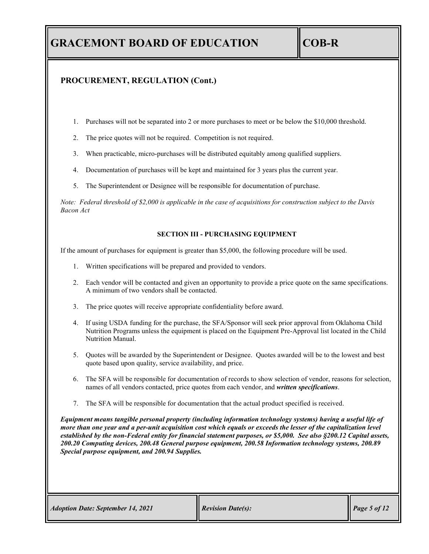### **PROCUREMENT, REGULATION (Cont.)**

- 1. Purchases will not be separated into 2 or more purchases to meet or be below the \$10,000 threshold.
- 2. The price quotes will not be required. Competition is not required.
- 3. When practicable, micro-purchases will be distributed equitably among qualified suppliers.
- 4. Documentation of purchases will be kept and maintained for 3 years plus the current year.
- 5. The Superintendent or Designee will be responsible for documentation of purchase.

*Note: Federal threshold of \$2,000 is applicable in the case of acquisitions for construction subject to the Davis Bacon Act*

#### **SECTION III - PURCHASING EQUIPMENT**

If the amount of purchases for equipment is greater than \$5,000, the following procedure will be used.

- 1. Written specifications will be prepared and provided to vendors.
- 2. Each vendor will be contacted and given an opportunity to provide a price quote on the same specifications. A minimum of two vendors shall be contacted.
- 3. The price quotes will receive appropriate confidentiality before award.
- 4. If using USDA funding for the purchase, the SFA/Sponsor will seek prior approval from Oklahoma Child Nutrition Programs unless the equipment is placed on the Equipment Pre-Approval list located in the Child Nutrition Manual.
- 5. Quotes will be awarded by the Superintendent or Designee. Quotes awarded will be to the lowest and best quote based upon quality, service availability, and price.
- 6. The SFA will be responsible for documentation of records to show selection of vendor, reasons for selection, names of all vendors contacted, price quotes from each vendor, and *written specifications*.
- 7. The SFA will be responsible for documentation that the actual product specified is received.

*Equipment means tangible personal property (including information technology systems) having a useful life of more than one year and a per-unit acquisition cost which equals or exceeds the lesser of the capitalization level established by the non-Federal entity for financial statement purposes, or \$5,000. See also §200.12 Capital assets, 200.20 Computing devices, 200.48 General purpose equipment, 200.58 Information technology systems, 200.89 Special purpose equipment, and 200.94 Supplies.*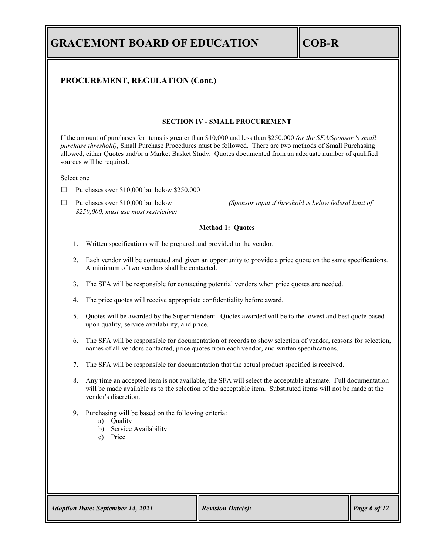| <b>GRACEMONT BOARD OF EDUCATION</b> | $\ COB-R$ |
|-------------------------------------|-----------|
|-------------------------------------|-----------|

### **PROCUREMENT, REGULATION (Cont.)**

#### **SECTION IV - SMALL PROCUREMENT**

If the amount of purchases for items is greater than \$10,000 and less than \$250,000 *(or the SFA/Sponsor 's small purchase threshold)*, Small Purchase Procedures must be followed. There are two methods of Small Purchasing allowed, either Quotes and/or a Market Basket Study. Quotes documented from an adequate number of qualified sources will be required.

Select one

 $\Box$  Purchases over \$10,000 but below \$250,000

□ Purchases over \$10,000 but below *(Sponsor input if threshold is below federal limit of \$250,000, must use most restrictive)*

#### **Method 1: Quotes**

- 1. Written specifications will be prepared and provided to the vendor.
- 2. Each vendor will be contacted and given an opportunity to provide a price quote on the same specifications. A minimum of two vendors shall be contacted.
- 3. The SFA will be responsible for contacting potential vendors when price quotes are needed.
- 4. The price quotes will receive appropriate confidentiality before award.
- 5. Quotes will be awarded by the Superintendent. Quotes awarded will be to the lowest and best quote based upon quality, service availability, and price.
- 6. The SFA will be responsible for documentation of records to show selection of vendor, reasons for selection, names of all vendors contacted, price quotes from each vendor, and written specifications.
- 7. The SFA will be responsible for documentation that the actual product specified is received.
- 8. Any time an accepted item is not available, the SFA will select the acceptable altemate. Full documentation will be made available as to the selection of the acceptable item. Substituted items will not be made at the vendor's discretion.
- 9. Purchasing will be based on the following criteria:
	- a) Quality
	- b) Service Availability
	- c) Price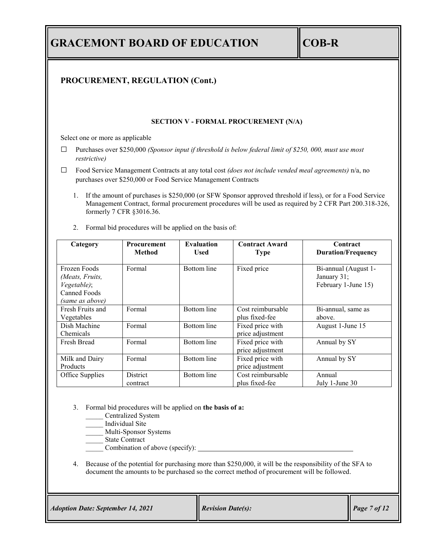| <b>GRACEMONT BOARD OF EDUCATION</b>                                                  |                                                                                                                                                                                                                                                                                                            |                                  |                                                                                                                                                                                                         | <b>COB-R</b>                                               |  |
|--------------------------------------------------------------------------------------|------------------------------------------------------------------------------------------------------------------------------------------------------------------------------------------------------------------------------------------------------------------------------------------------------------|----------------------------------|---------------------------------------------------------------------------------------------------------------------------------------------------------------------------------------------------------|------------------------------------------------------------|--|
|                                                                                      | PROCUREMENT, REGULATION (Cont.)                                                                                                                                                                                                                                                                            |                                  |                                                                                                                                                                                                         |                                                            |  |
|                                                                                      |                                                                                                                                                                                                                                                                                                            |                                  | <b>SECTION V - FORMAL PROCUREMENT (N/A)</b>                                                                                                                                                             |                                                            |  |
| Select one or more as applicable                                                     |                                                                                                                                                                                                                                                                                                            |                                  |                                                                                                                                                                                                         |                                                            |  |
| restrictive)                                                                         |                                                                                                                                                                                                                                                                                                            |                                  | Purchases over \$250,000 (Sponsor input if threshold is below federal limit of \$250, 000, must use most                                                                                                |                                                            |  |
|                                                                                      | purchases over \$250,000 or Food Service Management Contracts                                                                                                                                                                                                                                              |                                  | Food Service Management Contracts at any total cost (does not include vended meal agreements) n/a, no                                                                                                   |                                                            |  |
| 1.<br>2.                                                                             | If the amount of purchases is \$250,000 (or SFW Sponsor approved threshold if less), or for a Food Service<br>Management Contract, formal procurement procedures will be used as required by 2 CFR Part 200.318-326,<br>formerly 7 CFR §3016.36.<br>Formal bid procedures will be applied on the basis of: |                                  |                                                                                                                                                                                                         |                                                            |  |
| Category                                                                             | Procurement<br><b>Method</b>                                                                                                                                                                                                                                                                               | <b>Evaluation</b><br><b>Used</b> | <b>Contract Award</b><br><b>Type</b>                                                                                                                                                                    | Contract<br><b>Duration/Frequency</b>                      |  |
| Frozen Foods<br>(Meats, Fruits,<br>Vegetable);<br><b>Canned Foods</b>                | Formal                                                                                                                                                                                                                                                                                                     | <b>Bottom</b> line               | Fixed price                                                                                                                                                                                             | Bi-annual (August 1-<br>January 31;<br>February 1-June 15) |  |
| (same as above)<br>Fresh Fruits and<br>Vegetables                                    | Formal                                                                                                                                                                                                                                                                                                     | <b>Bottom</b> line               | Cost reimbursable<br>plus fixed-fee                                                                                                                                                                     | Bi-annual, same as<br>above.                               |  |
| Dish Machine<br>Chemicals                                                            | Formal                                                                                                                                                                                                                                                                                                     | <b>Bottom</b> line               | Fixed price with<br>price adjustment                                                                                                                                                                    | August 1-June 15                                           |  |
| Fresh Bread                                                                          | Formal                                                                                                                                                                                                                                                                                                     | <b>Bottom</b> line               | Fixed price with<br>price adjustment                                                                                                                                                                    | Annual by SY                                               |  |
| Milk and Dairy<br>Products                                                           | Formal                                                                                                                                                                                                                                                                                                     | <b>Bottom</b> line               | Fixed price with<br>price adjustment                                                                                                                                                                    | Annual by SY                                               |  |
| Office Supplies                                                                      | District<br>contract                                                                                                                                                                                                                                                                                       | <b>Bottom</b> line               | Cost reimbursable<br>plus fixed-fee                                                                                                                                                                     | Annual<br>July 1-June 30                                   |  |
| 3.<br>State Contract<br>4.                                                           | Formal bid procedures will be applied on the basis of a:<br>Centralized System<br>Individual Site<br>Multi-Sponsor Systems<br>Combination of above (specify):                                                                                                                                              |                                  | Because of the potential for purchasing more than \$250,000, it will be the responsibility of the SFA to<br>document the amounts to be purchased so the correct method of procurement will be followed. |                                                            |  |
| <b>Adoption Date: September 14, 2021</b><br><b>Revision Date(s):</b><br>Page 7 of 12 |                                                                                                                                                                                                                                                                                                            |                                  |                                                                                                                                                                                                         |                                                            |  |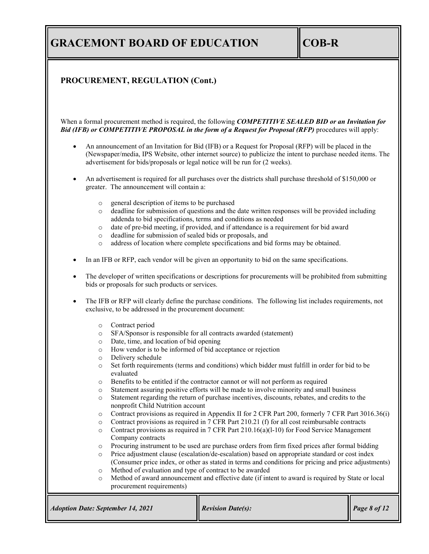## **PROCUREMENT, REGULATION (Cont.)**

When a formal procurement method is required, the following *COMPETITIVE SEALED BID or an Invitation for Bid (IFB) or COMPETITIVE PROPOSAL in the form of a Request for Proposal (RFP)* procedures will apply:

- An announcement of an Invitation for Bid (IFB) or a Request for Proposal (RFP) will be placed in the (Newspaper/media, IPS Website, other internet source) to publicize the intent to purchase needed items. The advertisement for bids/proposals or legal notice will be run for (2 weeks).
- An advertisement is required for all purchases over the districts shall purchase threshold of \$150,000 or greater. The announcement will contain a:
	- o general description of items to be purchased
	- o deadline for submission of questions and the date written responses will be provided including addenda to bid specifications, terms and conditions as needed
	- o date of pre-bid meeting, if provided, and if attendance is a requirement for bid award
	- deadline for submission of sealed bids or proposals, and
	- o address of location where complete specifications and bid forms may be obtained.
- In an IFB or RFP, each vendor will be given an opportunity to bid on the same specifications.
- The developer of written specifications or descriptions for procurements will be prohibited from submitting bids or proposals for such products or services.
- The IFB or RFP will clearly define the purchase conditions. The following list includes requirements, not exclusive, to be addressed in the procurement document:
	- o Contract period
	- o SFA/Sponsor is responsible for all contracts awarded (statement)
	- o Date, time, and location of bid opening
	- o How vendor is to be informed of bid acceptance or rejection
	- $\circ$  Delivery schedule<br> $\circ$  Set forth requirements
	- Set forth requirements (terms and conditions) which bidder must fulfill in order for bid to be evaluated
	- o Benefits to be entitled if the contractor cannot or will not perform as required
	- o Statement assuring positive efforts will be made to involve minority and small business
	- Statement regarding the return of purchase incentives, discounts, rebates, and credits to the nonprofit Child Nutrition account
	- o Contract provisions as required in Appendix II for 2 CFR Part 200, formerly 7 CFR Part 3016.36(i)
	- o Contract provisions as required in 7 CFR Part 210.21 (f) for all cost reimbursable contracts
	- $\circ$  Contract provisions as required in 7 CFR Part 210.16(a)(1-10) for Food Service Management Company contracts
	- o Procuring instrument to be used are purchase orders from firm fixed prices after formal bidding<br>
	o Price adjustment clause (escalation/de-escalation) based on appropriate standard or cost index
	- Price adjustment clause (escalation/de-escalation) based on appropriate standard or cost index (Consumer price index, or other as stated in terms and conditions for pricing and price adjustments)
	- o Method of evaluation and type of contract to be awarded
	- o Method of award announcement and effective date (if intent to award is required by State or local procurement requirements)

| <b>Revision Date(s):</b><br><b>Adoption Date: September 14, 2021</b> | Page 8 of 12 |
|----------------------------------------------------------------------|--------------|
|----------------------------------------------------------------------|--------------|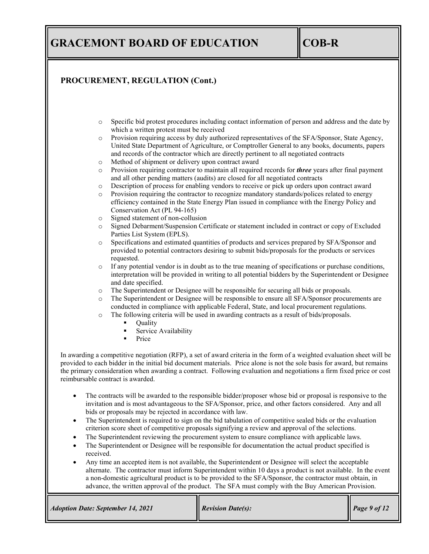## **PROCUREMENT, REGULATION (Cont.)**

- o Specific bid protest procedures including contact information of person and address and the date by which a written protest must be received
- o Provision requiring access by duly authorized representatives of the SFA/Sponsor, State Agency, United State Department of Agriculture, or Comptroller General to any books, documents, papers and records of the contractor which are directly pertinent to all negotiated contracts
- o Method of shipment or delivery upon contract award
- o Provision requiring contractor to maintain all required records for *three* years after final payment and all other pending matters (audits) are closed for all negotiated contracts
- o Description of process for enabling vendors to receive or pick up orders upon contract award
- o Provision requiring the contractor to recognize mandatory standards/polices related to energy efficiency contained in the State Energy Plan issued in compliance with the Energy Policy and Conservation Act (PL 94-165)
- o Signed statement of non-collusion
- o Signed Debarment/Suspension Certificate or statement included in contract or copy of Excluded Parties List System (EPLS).
- o Specifications and estimated quantities of products and services prepared by SFA/Sponsor and provided to potential contractors desiring to submit bids/proposals for the products or services requested.
- o If any potential vendor is in doubt as to the true meaning of specifications or purchase conditions, interpretation will be provided in writing to all potential bidders by the Superintendent or Designee and date specified.
- o The Superintendent or Designee will be responsible for securing all bids or proposals.
- o The Superintendent or Designee will be responsible to ensure all SFA/Sponsor procurements are conducted in compliance with applicable Federal, State, and local procurement regulations.
- o The following criteria will be used in awarding contracts as a result of bids/proposals.
	- Quality
	- Service Availability
	- Price

In awarding a competitive negotiation (RFP), a set of award criteria in the form of a weighted evaluation sheet will be provided to each bidder in the initial bid document materials. Price alone is not the sole basis for award, but remains the primary consideration when awarding a contract. Following evaluation and negotiations a firm fixed price or cost reimbursable contract is awarded.

- The contracts will be awarded to the responsible bidder/proposer whose bid or proposal is responsive to the invitation and is most advantageous to the SFA/Sponsor, price, and other factors considered. Any and all bids or proposals may be rejected in accordance with law.
- The Superintendent is required to sign on the bid tabulation of competitive sealed bids or the evaluation criterion score sheet of competitive proposals signifying a review and approval of the selections.
- The Superintendent reviewing the procurement system to ensure compliance with applicable laws.
- The Superintendent or Designee will be responsible for documentation the actual product specified is received.
- Any time an accepted item is not available, the Superintendent or Designee will select the acceptable alternate. The contractor must inform Superintendent within 10 days a product is not available. In the event a non-domestic agricultural product is to be provided to the SFA/Sponsor, the contractor must obtain, in advance, the written approval of the product. The SFA must comply with the Buy American Provision.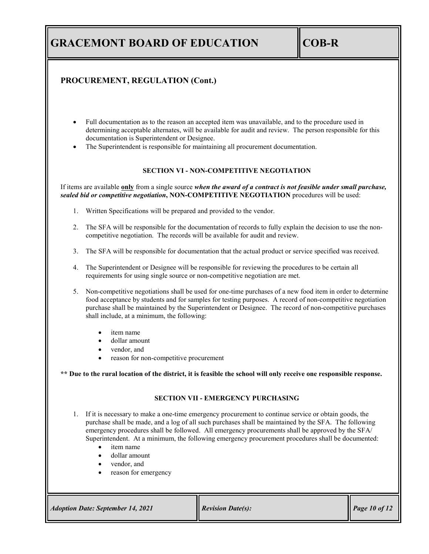## **PROCUREMENT, REGULATION (Cont.)**

- Full documentation as to the reason an accepted item was unavailable, and to the procedure used in determining acceptable alternates, will be available for audit and review. The person responsible for this documentation is Superintendent or Designee.
- The Superintendent is responsible for maintaining all procurement documentation.

#### **SECTION VI - NON-COMPETITIVE NEGOTIATION**

If items are available **only** from a single source *when the award of a contract is not feasible under small purchase, sealed bid or competitive negotiation***, NON-COMPETITIVE NEGOTIATION** procedures will be used:

- 1. Written Specifications will be prepared and provided to the vendor.
- 2. The SFA will be responsible for the documentation of records to fully explain the decision to use the noncompetitive negotiation. The records will be available for audit and review.
- 3. The SFA will be responsible for documentation that the actual product or service specified was received.
- 4. The Superintendent or Designee will be responsible for reviewing the procedures to be certain all requirements for using single source or non-competitive negotiation are met.
- 5. Non-competitive negotiations shall be used for one-time purchases of a new food item in order to determine food acceptance by students and for samples for testing purposes. A record of non-competitive negotiation purchase shall be maintained by the Superintendent or Designee. The record of non-competitive purchases shall include, at a minimum, the following:
	- item name
	- dollar amount
	- vendor, and
	- reason for non-competitive procurement

**\*\* Due to the rural location of the district, it is feasible the school will only receive one responsible response.**

#### **SECTION VII - EMERGENCY PURCHASING**

- 1. If it is necessary to make a one-time emergency procurement to continue service or obtain goods, the purchase shall be made, and a log of all such purchases shall be maintained by the SFA. The following emergency procedures shall be followed. All emergency procurements shall be approved by the SFA/ Superintendent. At a minimum, the following emergency procurement procedures shall be documented:
	- item name
	- dollar amount
	- vendor, and
	- reason for emergency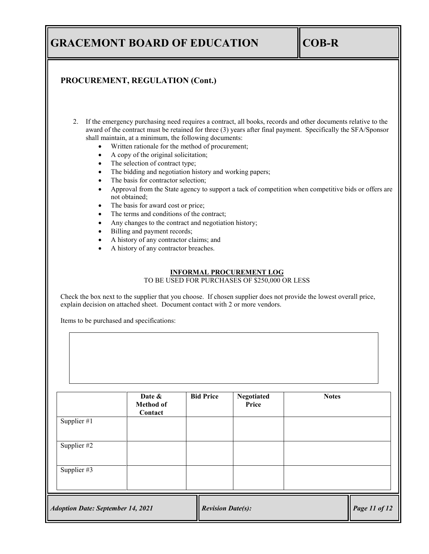### **PROCUREMENT, REGULATION (Cont.)**

- 2. If the emergency purchasing need requires a contract, all books, records and other documents relative to the award of the contract must be retained for three (3) years after final payment. Specifically the SFA/Sponsor shall maintain, at a minimum, the following documents:
	- Written rationale for the method of procurement;
	- A copy of the original solicitation;
	- The selection of contract type;
	- The bidding and negotiation history and working papers;
	- The basis for contractor selection;
	- Approval from the State agency to support a tack of competition when competitive bids or offers are not obtained;
	- The basis for award cost or price;
	- The terms and conditions of the contract;
	- Any changes to the contract and negotiation history;
	- Billing and payment records;
	- A history of any contractor claims; and
	- A history of any contractor breaches.

#### **INFORMAL PROCUREMENT LOG**

TO BE USED FOR PURCHASES OF \$250,000 OR LESS

Check the box next to the supplier that you choose. If chosen supplier does not provide the lowest overall price, explain decision on attached sheet. Document contact with 2 or more vendors.

Items to be purchased and specifications:

|                                          | Date &<br><b>Method of</b><br>Contact | <b>Bid Price</b>         | <b>Negotiated</b><br>Price | <b>Notes</b>  |
|------------------------------------------|---------------------------------------|--------------------------|----------------------------|---------------|
| Supplier #1                              |                                       |                          |                            |               |
| Supplier #2                              |                                       |                          |                            |               |
| Supplier #3                              |                                       |                          |                            |               |
| <b>Adoption Date: September 14, 2021</b> |                                       | <b>Revision Date(s):</b> |                            | Page 11 of 12 |